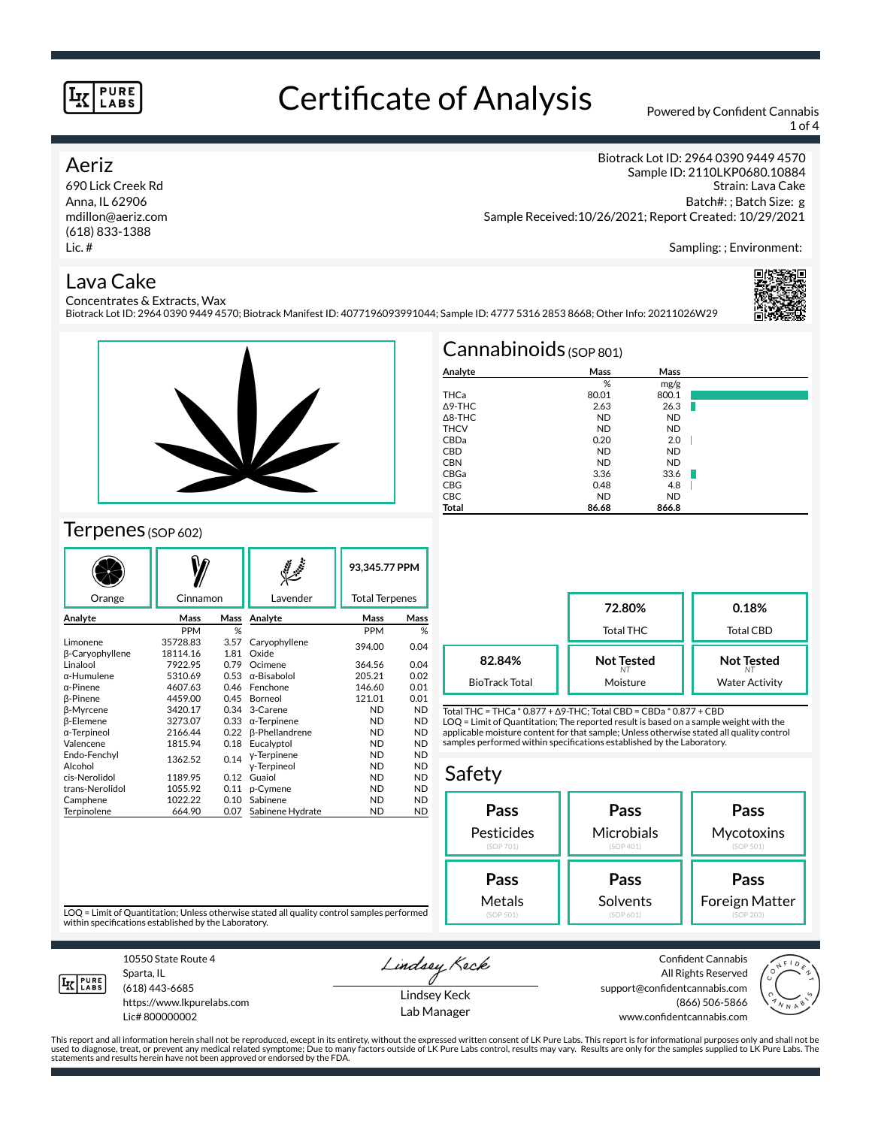# Certificate of Analysis Powered by Confident Cannabis

Biotrack Lot ID: 2964 0390 9449 4570; Biotrack Manifest ID: 4077196093991044; Sample ID: 4777 5316 2853 8668; Other Info: 20211026W29

1 of 4

## Aeriz

690 Lick Creek Rd Anna, IL 62906 mdillon@aeriz.com (618) 833-1388 Lic. #

Biotrack Lot ID: 2964 0390 9449 4570 Sample ID: 2110LKP0680.10884 Strain: Lava Cake Batch#: ; Batch Size: g Sample Received:10/26/2021; Report Created: 10/29/2021

Sampling: ; Environment:

#### Lava Cake Concentrates & Extracts, Wax



# Terpenes (SOP 602)

|                             |                      |              | $\mathcal{S}$          | 93,345.77 PPM |                       |  |
|-----------------------------|----------------------|--------------|------------------------|---------------|-----------------------|--|
| Orange                      | Cinnamon             |              | Lavender               |               | <b>Total Terpenes</b> |  |
| Analyte                     | Mass                 | Mass         | Analyte                | Mass          | Mass                  |  |
|                             | <b>PPM</b>           | %            |                        | <b>PPM</b>    | %                     |  |
| Limonene<br>β-Caryophyllene | 35728.83<br>18114.16 | 3.57<br>1.81 | Caryophyllene<br>Oxide | 394.00        | 0.04                  |  |
| Linalool                    | 7922.95              | 0.79         | Ocimene                | 364.56        | 0.04                  |  |
| α-Humulene                  | 5310.69              | 0.53         | $\alpha$ -Bisabolol    | 205.21        | 0.02                  |  |
| α-Pinene                    | 4607.63              | 0.46         | Fenchone               | 146.60        | 0.01                  |  |
| <b>B-Pinene</b>             | 4459.00              | 0.45         | Borneol                | 121.01        | 0.01                  |  |
| <b>B-Myrcene</b>            | 3420.17              | 0.34         | 3-Carene               | <b>ND</b>     | <b>ND</b>             |  |
| β-Elemene                   | 3273.07              | 0.33         | $\alpha$ -Terpinene    | <b>ND</b>     | <b>ND</b>             |  |
| α-Terpineol                 | 2166.44              | 0.22         | <b>ß-Phellandrene</b>  | <b>ND</b>     | <b>ND</b>             |  |
| Valencene                   | 1815.94              | 0.18         | Eucalyptol             | <b>ND</b>     | <b>ND</b>             |  |
| Endo-Fenchyl                | 1362.52              | 0.14         | y-Terpinene            | <b>ND</b>     | <b>ND</b>             |  |
| Alcohol                     |                      |              | y-Terpineol            | <b>ND</b>     | <b>ND</b>             |  |
| cis-Nerolidol               | 1189.95              | 0.12         | Guaiol                 | <b>ND</b>     | <b>ND</b>             |  |
| trans-Nerolidol             | 1055.92              | 0.11         | p-Cymene               | <b>ND</b>     | <b>ND</b>             |  |
| Camphene                    | 1022.22              | 0.10         | Sabinene               | <b>ND</b>     | <b>ND</b>             |  |
| Terpinolene                 | 664.90               | 0.07         | Sabinene Hydrate       | <b>ND</b>     | <b>ND</b>             |  |

|                   | $Cannabinoids$ (SOP 801) |           |  |
|-------------------|--------------------------|-----------|--|
| Analyte           | Mass                     | Mass      |  |
|                   | %                        | mg/g      |  |
| THCa              | 80.01                    | 800.1     |  |
| $\Delta$ 9-THC    | 2.63                     | 26.3      |  |
| $\triangle$ 8-THC | <b>ND</b>                | <b>ND</b> |  |
| <b>THCV</b>       | <b>ND</b>                | <b>ND</b> |  |
| CBDa              | 0.20                     | 2.0       |  |
| <b>CBD</b>        | <b>ND</b>                | <b>ND</b> |  |
| <b>CBN</b>        | <b>ND</b>                | <b>ND</b> |  |
| CBGa              | 3.36                     | 33.6      |  |
| <b>CBG</b>        | 0.48                     | 4.8       |  |
| <b>CBC</b>        | <b>ND</b>                | <b>ND</b> |  |
| <b>Total</b>      | 86.68                    | 866.8     |  |

**72.80%** Total THC **0.18%** Total CBD **Not Tested** *NT* Moisture **Not Tested** *NT* Water Activity **82.84%** BioTrack Total

Total THC = THCa \* 0.877 + ∆9-THC; Total CBD = CBDa \* 0.877 + CBD LOQ = Limit of Quantitation; The reported result is based on a sample weight with the applicable moisture content for that sample; Unless otherwise stated all quality control samples performed within specifications established by the Laboratory.

### Safety

| Pass       | Pass       | Pass           |
|------------|------------|----------------|
| Pesticides | Microbials | Mycotoxins     |
| (SOP 701)  | (SOP 401)  | (SOP 501)      |
| Pass       | Pass       | Pass           |
| Metals     | Solvents   | Foreign Matter |
| (SOP 501)  | (SOP 601)  | (SOP 203)      |

LOQ = Limit of Quantitation; Unless otherwise stated all quality control samples performed within specifications established by the Laboratory.



Sparta, IL (618) 443-6685

10550 State Route 4

https://www.lkpurelabs.com Lic# 800000002

Lindsey Keck

Lindsey Keck Lab Manager

Confident Cannabis All Rights Reserved support@confidentcannabis.com (866) 506-5866 www.confidentcannabis.com



This report and all information herein shall not be reproduced, except in its entirety, without the expressed written consent of LK Pure Labs. This report is for informational purposes only and shall not be<br>used to diagnos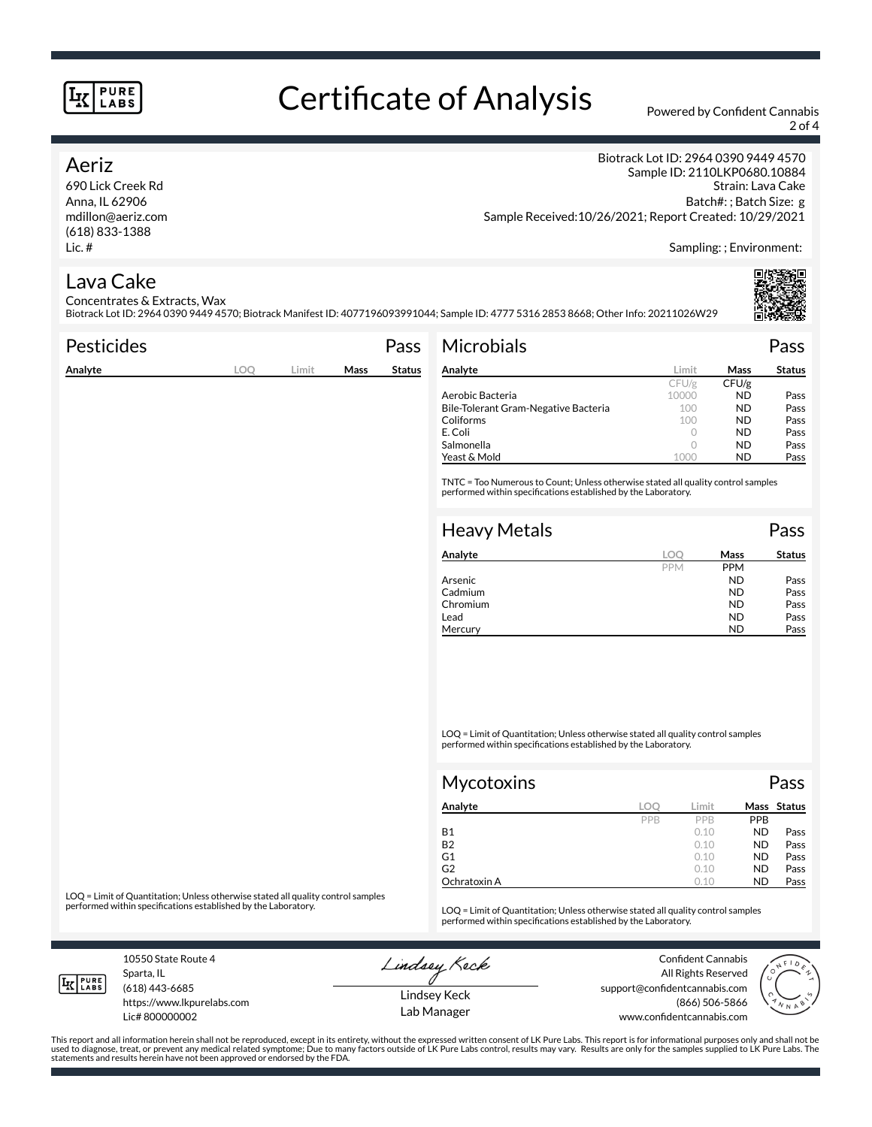# Certificate of Analysis Powered by Confident Cannabis

2 of 4

## Aeriz

690 Lick Creek Rd Anna, IL 62906 mdillon@aeriz.com (618) 833-1388 Lic. #

Biotrack Lot ID: 2964 0390 9449 4570 Sample ID: 2110LKP0680.10884 Strain: Lava Cake Batch#: ; Batch Size: g Sample Received:10/26/2021; Report Created: 10/29/2021

Sampling: ; Environment:

# Lava Cake

Concentrates & Extracts, Wax Biotrack Lot ID: 2964 0390 9449 4570; Biotrack Manifest ID: 4077196093991044; Sample ID: 4777 5316 2853 8668; Other Info: 20211026W29

| Pesticides |     |       |      | Pass          | <b>Microbials</b>                                  |                                                                                                                                                     |           | Pass          |
|------------|-----|-------|------|---------------|----------------------------------------------------|-----------------------------------------------------------------------------------------------------------------------------------------------------|-----------|---------------|
| Analyte    | LOQ | Limit | Mass | <b>Status</b> | Analyte                                            | Limit                                                                                                                                               | Mass      | <b>Status</b> |
|            |     |       |      |               |                                                    | CFU/g                                                                                                                                               | CFU/g     |               |
|            |     |       |      |               | Aerobic Bacteria                                   | 10000                                                                                                                                               | ND.       | Pass          |
|            |     |       |      |               | Bile-Tolerant Gram-Negative Bacteria               | 100                                                                                                                                                 | <b>ND</b> | Pass          |
|            |     |       |      |               | Coliforms                                          | 100                                                                                                                                                 | <b>ND</b> | Pass          |
|            |     |       |      |               | E. Coli                                            | $\bigcap$                                                                                                                                           | <b>ND</b> | Pass          |
|            |     |       |      |               | Salmonella                                         |                                                                                                                                                     | <b>ND</b> | Pass          |
|            |     |       |      |               | Yeast & Mold                                       | 1000                                                                                                                                                | ND.       | Pass          |
|            |     |       |      |               |                                                    | TNTC = Too Numerous to Count; Unless otherwise stated all quality control samples<br>performed within specifications established by the Laboratory. |           |               |
|            |     |       |      |               | <b>Heavy Metals</b><br>$\sim$ $\sim$ $\sim$ $\sim$ |                                                                                                                                                     |           | Pass          |

| Analyte  | LOC        | Mass       | <b>Status</b> |
|----------|------------|------------|---------------|
|          | <b>PPM</b> | <b>PPM</b> |               |
| Arsenic  |            | <b>ND</b>  | Pass          |
| Cadmium  |            | <b>ND</b>  | Pass          |
| Chromium |            | <b>ND</b>  | Pass          |
| Lead     |            | <b>ND</b>  | Pass          |
| Mercury  |            | ND         | Pass          |

LOQ = Limit of Quantitation; Unless otherwise stated all quality control samples performed within specifications established by the Laboratory.

| Mycotoxins   |     |       | Pass       |             |  |
|--------------|-----|-------|------------|-------------|--|
| Analyte      | LOO | Limit |            | Mass Status |  |
|              | PPB | PPB   | <b>PPB</b> |             |  |
| <b>B1</b>    |     | 0.10  | <b>ND</b>  | Pass        |  |
| <b>B2</b>    |     | 0.10  | <b>ND</b>  | Pass        |  |
| G1           |     | 0.10  | <b>ND</b>  | Pass        |  |
| G2           |     | 0.10  | <b>ND</b>  | Pass        |  |
| Ochratoxin A |     | 0.10  | <b>ND</b>  | Pass        |  |

LOQ = Limit of Quantitation; Unless otherwise stated all quality control samples<br>performed within specifications established by the Laboratory.

LOQ = Limit of Quantitation; Unless otherwise stated all quality control samples performed within specifications established by the Laboratory.

10550 State Route 4 Sparta, IL

Lindsey Keck

Confident Cannabis



**IK PURE** (618) 443-6685 https://www.lkpurelabs.com Lic# 800000002

Lindsey Keck Lab Manager

All Rights Reserved support@confidentcannabis.com (866) 506-5866 www.confidentcannabis.com

This report and all information herein shall not be reproduced, except in its entirety, without the expressed written consent of LK Pure Labs. This report is for informational purposes only and shall not be<br>used to diagnos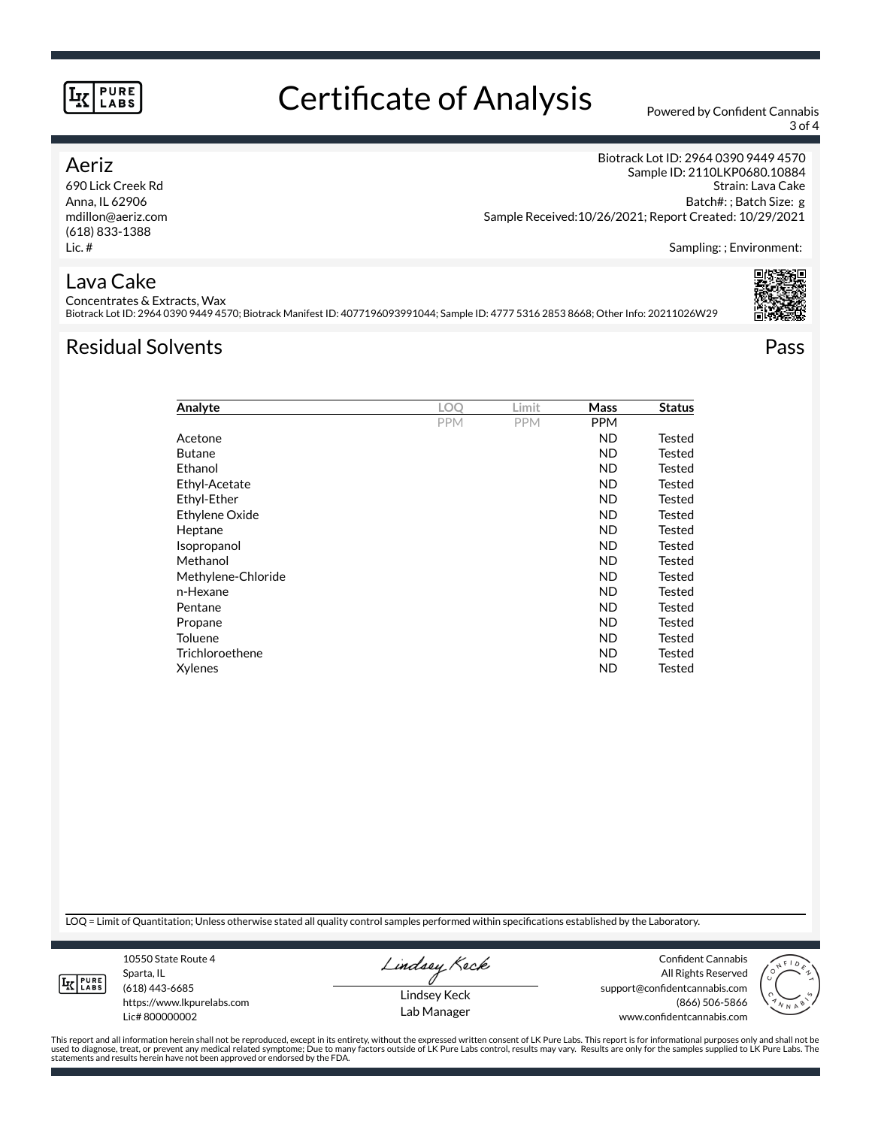# Certificate of Analysis Powered by Confident Cannabis

3 of 4

## Aeriz

690 Lick Creek Rd Anna, IL 62906 mdillon@aeriz.com (618) 833-1388 Lic. #

Biotrack Lot ID: 2964 0390 9449 4570 Sample ID: 2110LKP0680.10884 Strain: Lava Cake Batch#: ; Batch Size: g Sample Received:10/26/2021; Report Created: 10/29/2021

Sampling: ; Environment:

## Lava Cake

Concentrates & Extracts, Wax Biotrack Lot ID: 2964 0390 9449 4570; Biotrack Manifest ID: 4077196093991044; Sample ID: 4777 5316 2853 8668; Other Info: 20211026W29

# Residual Solvents Pass



| Analyte            | LOO        | Limit      | Mass       | <b>Status</b> |
|--------------------|------------|------------|------------|---------------|
|                    | <b>PPM</b> | <b>PPM</b> | <b>PPM</b> |               |
| Acetone            |            |            | <b>ND</b>  | Tested        |
| <b>Butane</b>      |            |            | <b>ND</b>  | Tested        |
| Ethanol            |            |            | <b>ND</b>  | Tested        |
| Ethyl-Acetate      |            |            | <b>ND</b>  | Tested        |
| Ethyl-Ether        |            |            | ND         | Tested        |
| Ethylene Oxide     |            |            | ND         | Tested        |
| Heptane            |            |            | <b>ND</b>  | Tested        |
| Isopropanol        |            |            | <b>ND</b>  | Tested        |
| Methanol           |            |            | <b>ND</b>  | Tested        |
| Methylene-Chloride |            |            | ND         | Tested        |
| n-Hexane           |            |            | ND         | Tested        |
| Pentane            |            |            | <b>ND</b>  | Tested        |
| Propane            |            |            | <b>ND</b>  | Tested        |
| <b>Toluene</b>     |            |            | <b>ND</b>  | Tested        |
| Trichloroethene    |            |            | <b>ND</b>  | Tested        |
| Xylenes            |            |            | <b>ND</b>  | Tested        |

LOQ = Limit of Quantitation; Unless otherwise stated all quality control samples performed within specifications established by the Laboratory.



Sparta, IL (618) 443-6685 https://www.lkpurelabs.com

10550 State Route 4

Lic# 800000002

Lindsey Keck

Lindsey Keck Lab Manager

Confident Cannabis All Rights Reserved support@confidentcannabis.com (866) 506-5866 www.confidentcannabis.com



This report and all information herein shall not be reproduced, except in its entirety, without the expressed written consent of LK Pure Labs. This report is for informational purposes only and shall not be<br>used to diagnos